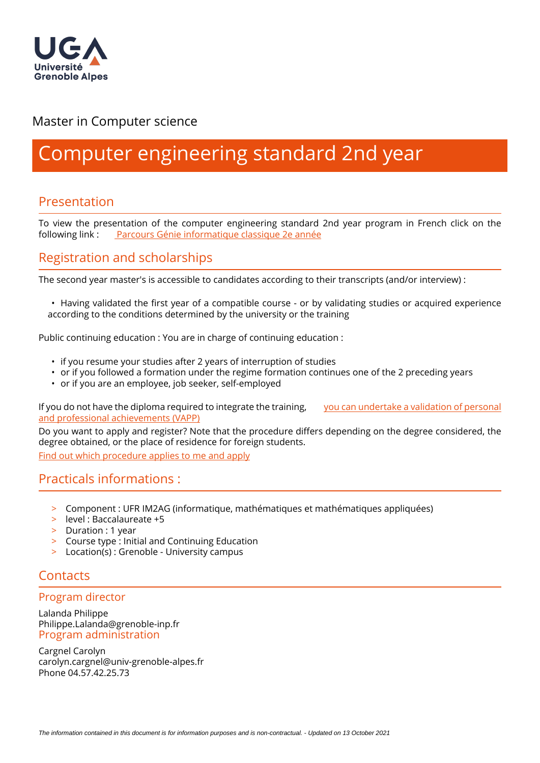

## Master in Computer science

# Computer engineering standard 2nd year

## Presentation

To view the presentation of the computer engineering standard 2nd year program in French click on the following link : [Parcours Génie informatique classique 2e année](https://formations.univ-grenoble-alpes.fr/fr/catalogue-2021/master-XB/master-informatique-IAQK9B8Z//parcours-genie-informatique-classique-2e-annee-IGM7ZRCJ.html?search-keywords=G%C3%A9nie+informatique)

## Registration and scholarships

The second year master's is accessible to candidates according to their transcripts (and/or interview) :

• Having validated the first year of a compatible course - or by validating studies or acquired experience according to the conditions determined by the university or the training

Public continuing education : You are in charge of continuing education :

- if you resume your studies after 2 years of interruption of studies
- or if you followed a formation under the regime formation continues one of the 2 preceding years
- or if you are an employee, job seeker, self-employed

If you do not have the diploma required to integrate the training, [you can undertake a validation of personal](https://www.univ-grenoble-alpes.fr/construire-son-parcours/valider-ses-acquis/validation-des-acquis-personnels-et-professionnels-vapp-/)  [and professional achievements \(VAPP\)](https://www.univ-grenoble-alpes.fr/construire-son-parcours/valider-ses-acquis/validation-des-acquis-personnels-et-professionnels-vapp-/)

Do you want to apply and register? Note that the procedure differs depending on the degree considered, the degree obtained, or the place of residence for foreign students.

[Find out which procedure applies to me and apply](https://im2ag.univ-grenoble-alpes.fr/menu-principal/formation/candidatures/)

### Practicals informations :

- > Component : UFR IM2AG (informatique, mathématiques et mathématiques appliquées)
- > level : Baccalaureate +5
- > Duration : 1 year
- > Course type : Initial and Continuing Education
- > Location(s) : Grenoble University campus

## **Contacts**

#### Program director

Lalanda Philippe Philippe.Lalanda@grenoble-inp.fr Program administration

Cargnel Carolyn carolyn.cargnel@univ-grenoble-alpes.fr Phone 04.57.42.25.73